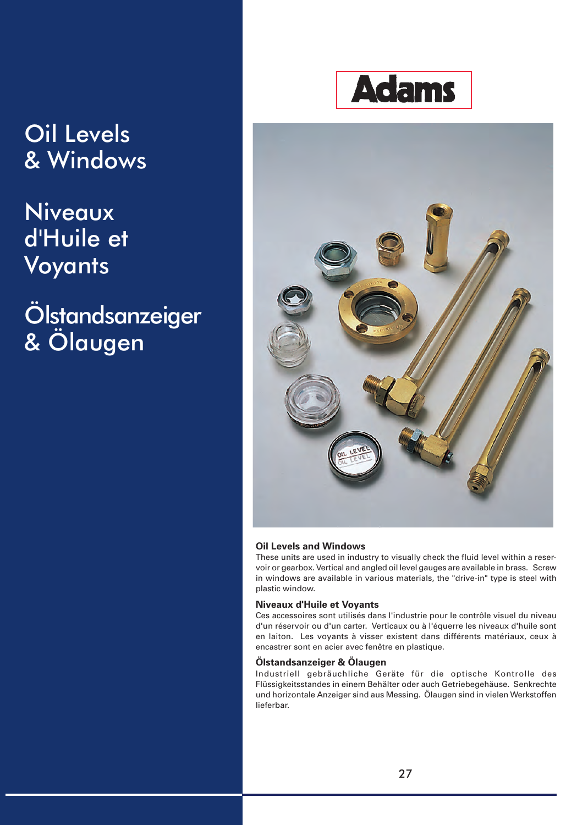## Oil Levels & Windows

## Niveaux d'Huile et Voyants

## Ölstandsanzeiger & Ölaugen





#### **Oil Levels and Windows**

These units are used in industry to visually check the fluid level within a reservoir or gearbox. Vertical and angled oil level gauges are available in brass. Screw in windows are available in various materials, the "drive-in" type is steel with plastic window.

#### **Niveaux d'Huile et Voyants**

Ces accessoires sont utilisés dans l'industrie pour le contrôle visuel du niveau d'un réservoir ou d'un carter. Verticaux ou à l'équerre les niveaux d'huile sont en laiton. Les voyants à visser existent dans différents matériaux, ceux à encastrer sont en acier avec fenêtre en plastique.

#### **Ölstandsanzeiger & Ölaugen**

Industriell gebräuchliche Geräte für die optische Kontrolle des Flüssigkeitsstandes in einem Behälter oder auch Getriebegehäuse. Senkrechte und horizontale Anzeiger sind aus Messing. Ölaugen sind in vielen Werkstoffen lieferbar.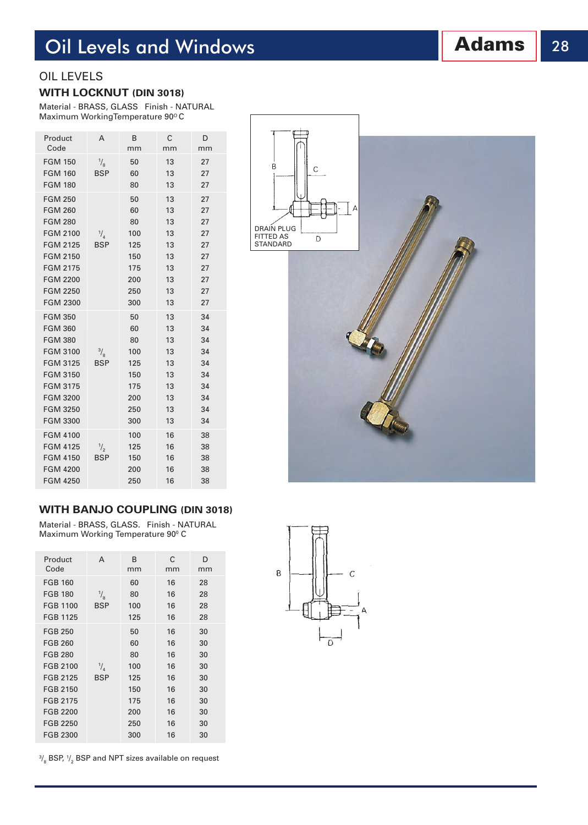## **Oil Levels and Windows Adams** 28

#### OIL LEVELS

#### **WITH LOCKNUT (DIN 3018)**

Material - BRASS, GLASS Finish - NATURAL Maximum WorkingTemperature 90°C

| Product<br>Code                  | A                           | B<br>mm  | С<br>mm  | D<br>mm  |
|----------------------------------|-----------------------------|----------|----------|----------|
| <b>FGM 150</b><br><b>FGM 160</b> | $\frac{1}{8}$<br><b>BSP</b> | 50<br>60 | 13<br>13 | 27<br>27 |
| <b>FGM 180</b>                   |                             | 80       | 13       | 27       |
| <b>FGM 250</b>                   |                             | 50       | 13       | 27       |
| <b>FGM 260</b>                   |                             | 60       | 13       | 27       |
| <b>FGM 280</b>                   |                             | 80       | 13       | 27       |
| <b>FGM 2100</b>                  | $\frac{1}{4}$               | 100      | 13       | 27       |
| <b>FGM 2125</b>                  | <b>BSP</b>                  | 125      | 13       | 27       |
| <b>FGM 2150</b>                  |                             | 150      | 13       | 27       |
| <b>FGM 2175</b>                  |                             | 175      | 13       | 27       |
| <b>FGM 2200</b>                  |                             | 200      | 13       | 27       |
| <b>FGM 2250</b>                  |                             | 250      | 13       | 27       |
| <b>FGM 2300</b>                  |                             | 300      | 13       | 27       |
| <b>FGM 350</b>                   |                             | 50       | 13       | 34       |
| <b>FGM 360</b>                   |                             | 60       | 13       | 34       |
| <b>FGM 380</b>                   |                             | 80       | 13       | 34       |
| <b>FGM 3100</b>                  | $\frac{3}{8}$               | 100      | 13       | 34       |
| <b>FGM 3125</b>                  | <b>BSP</b>                  | 125      | 13       | 34       |
| <b>FGM 3150</b>                  |                             | 150      | 13       | 34       |
| <b>FGM 3175</b>                  |                             | 175      | 13       | 34       |
| <b>FGM 3200</b>                  |                             | 200      | 13       | 34       |
| <b>FGM 3250</b>                  |                             | 250      | 13       | 34       |
| <b>FGM 3300</b>                  |                             | 300      | 13       | 34       |
| <b>FGM 4100</b>                  |                             | 100      | 16       | 38       |
| <b>FGM 4125</b>                  | $\frac{1}{2}$               | 125      | 16       | 38       |
| <b>FGM 4150</b>                  | <b>BSP</b>                  | 150      | 16       | 38       |
| <b>FGM 4200</b>                  |                             | 200      | 16       | 38       |
| <b>FGM 4250</b>                  |                             | 250      | 16       | 38       |

# $\overline{B}$  $\overline{C}$ DRAIN PLUG D FITTED AS **STANDARD**

#### **WITH BANJO COUPLING (DIN 3018)**

Material - BRASS, GLASS. Finish - NATURAL Maximum Working Temperature 90°C

| Product<br>Code | A             | B<br>mm | C<br>mm | D<br>mm |
|-----------------|---------------|---------|---------|---------|
| <b>FGB 160</b>  |               | 60      | 16      | 28      |
| <b>FGB 180</b>  | $\frac{1}{8}$ | 80      | 16      | 28      |
| <b>FGB 1100</b> | <b>BSP</b>    | 100     | 16      | 28      |
| <b>FGB 1125</b> |               | 125     | 16      | 28      |
| <b>FGB 250</b>  |               | 50      | 16      | 30      |
| <b>FGB 260</b>  |               | 60      | 16      | 30      |
| <b>FGB 280</b>  |               | 80      | 16      | 30      |
| FGB 2100        | $\frac{1}{4}$ | 100     | 16      | 30      |
| FGB 2125        | <b>BSP</b>    | 125     | 16      | 30      |
| FGB 2150        |               | 150     | 16      | 30      |
| FGB 2175        |               | 175     | 16      | 30      |
| FGB 2200        |               | 200     | 16      | 30      |
| FGB 2250        |               | 250     | 16      | 30      |
| FGB 2300        |               | 300     | 16      | 30      |
|                 |               |         |         |         |

 $\frac{3}{8}$  BSP,  $\frac{1}{2}$  BSP and NPT sizes available on request

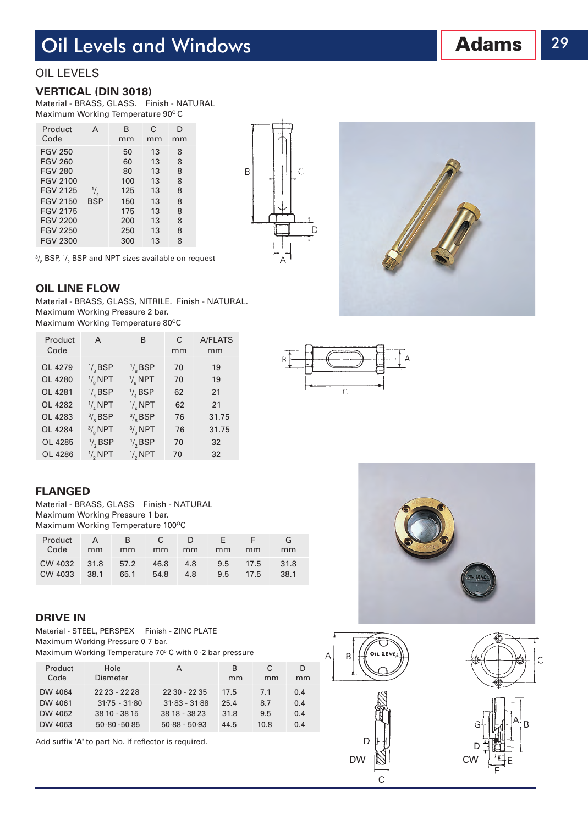## Oil Levels and Windows

#### OIL LEVELS

#### **VERTICAL (DIN 3018)**

Material - BRASS, GLASS. Finish - NATURAL Maximum Working Temperature 90°C

| Product                                                                                                                                                                                 | А                           | в                                                               | C                                                        | D                                              |
|-----------------------------------------------------------------------------------------------------------------------------------------------------------------------------------------|-----------------------------|-----------------------------------------------------------------|----------------------------------------------------------|------------------------------------------------|
| Code                                                                                                                                                                                    |                             | mm                                                              | mm                                                       | mm                                             |
| <b>FGV 250</b><br><b>FGV 260</b><br><b>FGV 280</b><br><b>FGV 2100</b><br><b>FGV 2125</b><br><b>FGV 2150</b><br><b>FGV 2175</b><br><b>FGV 2200</b><br><b>FGV 2250</b><br><b>FGV 2300</b> | $\frac{1}{4}$<br><b>BSP</b> | 50<br>60<br>80<br>100<br>125<br>150<br>175<br>200<br>250<br>300 | 13<br>13<br>13<br>13<br>13<br>13<br>13<br>13<br>13<br>13 | 8<br>8<br>8<br>8<br>8<br>8<br>8<br>8<br>8<br>8 |



 $\overline{A}$ 

 $\frac{3}{8}$  BSP,  $\frac{1}{2}$  BSP and NPT sizes available on request

**OIL LINE FLOW**

Material - BRASS, GLASS, NITRILE. Finish - NATURAL. Maximum Working Pressure 2 bar. Maximum Working Temperature 80°C

| Product<br>Code | A                   | B                 | C<br>mm | A/FLATS<br>mm |
|-----------------|---------------------|-------------------|---------|---------------|
| OL 4279         | $\frac{1}{6}$ BSP   | $\frac{1}{6}$ BSP | 70      | 19            |
| OL 4280         | $\frac{1}{8}$ NPT   | $\frac{1}{6}$ NPT | 70      | 19            |
| OL 4281         | $\frac{1}{4}$ BSP   | $\frac{1}{4}$ BSP | 62      | 21            |
| OL 4282         | $\frac{1}{4}$ NPT   | $\frac{1}{4}$ NPT | 62      | 21            |
| OL 4283         | $\frac{3}{8}$ BSP   | $\frac{3}{8}$ BSP | 76      | 31.75         |
| OL 4284         | $\frac{3}{8}$ NPT   | $\frac{3}{8}$ NPT | 76      | 31.75         |
| OL 4285         | $\frac{1}{2}$ , BSP | $\frac{1}{2}$ BSP | 70      | 32            |
| OL 4286         | $\frac{1}{2}$ NPT   | $\frac{1}{2}$ NPT | 70      | 32            |

## $\overline{C}$

#### **FLANGED**

Material - BRASS, GLASS Finish - NATURAL Maximum Working Pressure 1 bar. Maximum Working Temperature 100°C

| Product<br>Code              | $\mathsf{A}$<br>mm | R.<br>mm | $\overline{C}$<br>mm | D.<br>mm   | NF.<br>mm     | mm               | mm           |
|------------------------------|--------------------|----------|----------------------|------------|---------------|------------------|--------------|
| CW 4032 31.8 57.2<br>CW 4033 | 38.1               | 65.1     | 46.8<br>54.8         | 4.8<br>4.8 | $9.5^{\circ}$ | 9.5 17.5<br>17.5 | 31.8<br>38.1 |

#### **DRIVE IN**

Material - STEEL, PERSPEX Finish - ZINC PLATE Maximum Working Pressure 0 7 bar.

Maximum Working Temperature 70<sup>°</sup> C with 0 2 bar pressure

| Product | Hole            | А               | B    | C.   | D   |
|---------|-----------------|-----------------|------|------|-----|
| Code    | Diameter        |                 | mm   | mm   | mm  |
| DW 4064 | $22.23 - 22.28$ | $22.30 - 22.35$ | 17.5 | 7.1  | 0.4 |
| DW 4061 | $31.75 - 31.80$ | $31.83 - 31.88$ | 25.4 | 8.7  | 0.4 |
| DW 4062 | $38.10 - 38.15$ | $3818 - 3823$   | 31.8 | 9.5  | 0.4 |
| DW 4063 | $50.80 - 50.85$ | $50.88 - 50.93$ | 44.5 | 10.8 | 0.4 |

Add suffix **'A'** to part No. if reflector is required.







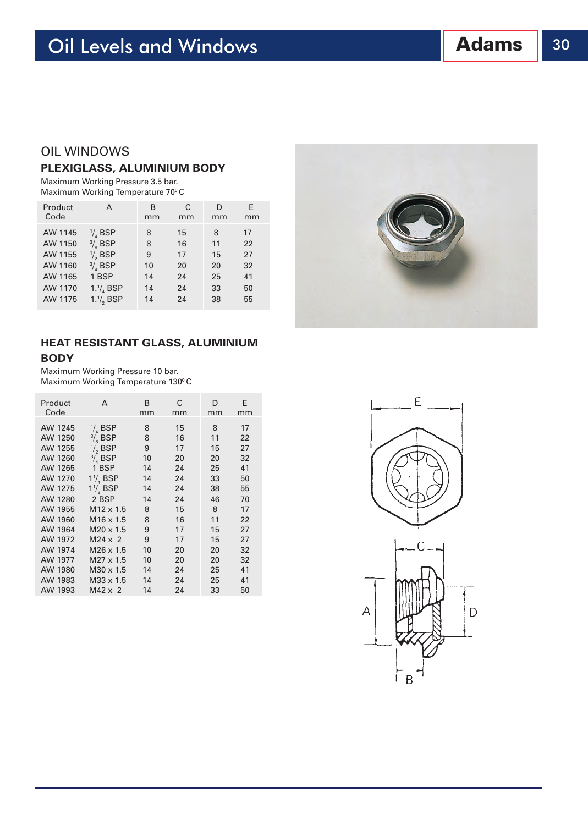#### OIL WINDOWS

#### **PLEXIGLASS, ALUMINIUM BODY**

Maximum Working Pressure 3.5 bar. Maximum Working Temperature 70°C

| Product | A                   | B  | C  | D  | E. |
|---------|---------------------|----|----|----|----|
| Code    |                     | mm | mm | mm | mm |
| AW 1145 | $\frac{1}{4}$ BSP   | 8  | 15 | 8  | 17 |
| AW 1150 | $\frac{3}{8}$ BSP   | 8  | 16 | 11 | 22 |
| AW 1155 | $\frac{1}{2}$ , BSP | 9  | 17 | 15 | 27 |
| AW 1160 | $\frac{3}{4}$ BSP   | 10 | 20 | 20 | 32 |
| AW 1165 | 1 BSP               | 14 | 24 | 25 | 41 |
| AW 1170 | $1.1/4$ BSP         | 14 | 24 | 33 | 50 |
| AW 1175 | $1.1/2$ , BSP       | 14 | 24 | 38 | 55 |

#### **HEAT RESISTANT GLASS, ALUMINIUM BODY**

Maximum Working Pressure 10 bar. Maximum Working Temperature 130°C

| Product<br>Code | А                    | B<br>mm | С  | D  | E<br>mm |
|-----------------|----------------------|---------|----|----|---------|
|                 |                      |         | mm | mm |         |
| AW 1245         | $\frac{1}{4}$ BSP    | 8       | 15 | 8  | 17      |
| AW 1250         | $\frac{3}{6}$ , BSP  | 8       | 16 | 11 | 22      |
| AW 1255         | $\frac{1}{2}$ , BSP  | 9       | 17 | 15 | 27      |
| AW 1260         | $\frac{3}{4}$ BSP    | 10      | 20 | 20 | 32      |
| AW 1265         | 1 BSP                | 14      | 24 | 25 | 41      |
| AW 1270         | $1\frac{1}{4}$ BSP   | 14      | 24 | 33 | 50      |
| AW 1275         | $1\frac{1}{2}$ , BSP | 14      | 24 | 38 | 55      |
| AW 1280         | 2 BSP                | 14      | 24 | 46 | 70      |
| AW 1955         | $M12 \times 1.5$     | 8       | 15 | 8  | 17      |
| AW 1960         | M16 x 1.5            | 8       | 16 | 11 | 22      |
| AW 1964         | $M20 \times 1.5$     | 9       | 17 | 15 | 27      |
| AW 1972         | $M24 \times 2$       | 9       | 17 | 15 | 27      |
| AW 1974         | $M26 \times 1.5$     | 10      | 20 | 20 | 32      |
| AW 1977         | $M27 \times 1.5$     | 10      | 20 | 20 | 32      |
| AW 1980         | $M30 \times 1.5$     | 14      | 24 | 25 | 41      |
| AW 1983         | $M33 \times 1.5$     | 14      | 24 | 25 | 41      |
| AW 1993         | $M42 \times 2$       | 14      | 24 | 33 | 50      |



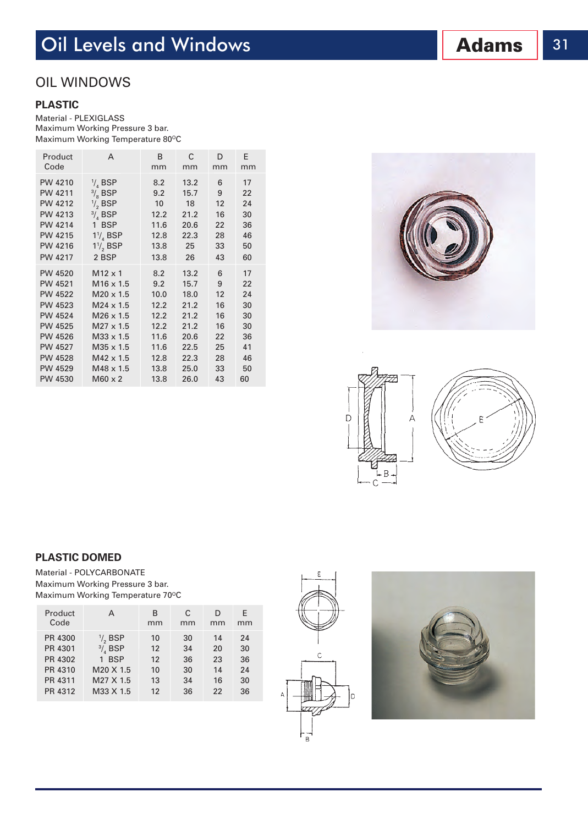## **Oil Levels and Windows Adams** 31

#### OIL WINDOWS

#### **PLASTIC**

Material - PLEXIGLASS Maximum Working Pressure 3 bar. Maximum Working Temperature 80°C

| Product        | A                    | B    | С    | D  | Ε  |
|----------------|----------------------|------|------|----|----|
| Code           |                      | mm   | mm   | mm | mm |
| PW 4210        | $\frac{1}{4}$ BSP    | 8.2  | 13.2 | 6  | 17 |
| PW 4211        | $\frac{3}{8}$ BSP    | 9.2  | 15.7 | 9  | 22 |
| PW 4212        | $\frac{1}{2}$ , BSP  | 10   | 18   | 12 | 24 |
| PW 4213        | $\frac{3}{4}$ BSP    | 12.2 | 21.2 | 16 | 30 |
| <b>PW 4214</b> | 1 BSP                | 11.6 | 20.6 | 22 | 36 |
| <b>PW 4215</b> | $1\frac{1}{4}$ BSP   | 12.8 | 22.3 | 28 | 46 |
| PW 4216        | $1\frac{1}{2}$ , BSP | 13.8 | 25   | 33 | 50 |
| <b>PW 4217</b> | 2 BSP                | 13.8 | 26   | 43 | 60 |
| PW 4520        | $M12 \times 1$       | 8.2  | 13.2 | 6  | 17 |
| PW 4521        | $M16 \times 1.5$     | 9.2  | 15.7 | 9  | 22 |
| <b>PW 4522</b> | $M20 \times 1.5$     | 10.0 | 18.0 | 12 | 24 |
| PW 4523        | $M24 \times 1.5$     | 12.2 | 21.2 | 16 | 30 |
| PW 4524        | $M26 \times 1.5$     | 12.2 | 21.2 | 16 | 30 |
| <b>PW 4525</b> | $M27 \times 1.5$     | 12.2 | 21.2 | 16 | 30 |
| <b>PW 4526</b> | M33 x 1.5            | 11.6 | 20.6 | 22 | 36 |
| PW 4527        | M35 x 1.5            | 11.6 | 22.5 | 25 | 41 |
| <b>PW 4528</b> | $M42 \times 1.5$     | 12.8 | 22.3 | 28 | 46 |
| PW 4529        | $M48 \times 1.5$     | 13.8 | 25.0 | 33 | 50 |
| PW 4530        | $M60 \times 2$       | 13.8 | 26.0 | 43 | 60 |





#### **PLASTIC DOMED**

Material - POLYCARBONATE Maximum Working Pressure 3 bar. Maximum Working Temperature 70°C

| Product | A                   | B  | С  | D  | E. |
|---------|---------------------|----|----|----|----|
| Code    |                     | mm | mm | mm | mm |
| PR 4300 | $\frac{1}{2}$ , BSP | 10 | 30 | 14 | 24 |
| PR 4301 | $\frac{3}{4}$ BSP   | 12 | 34 | 20 | 30 |
| PR 4302 | 1 BSP               | 12 | 36 | 23 | 36 |
| PR 4310 | M20 X 1.5           | 10 | 30 | 14 | 24 |
| PR 4311 | M27 X 1.5           | 13 | 34 | 16 | 30 |
| PR 4312 | M33 X 1.5           | 12 | 36 | 22 | 36 |